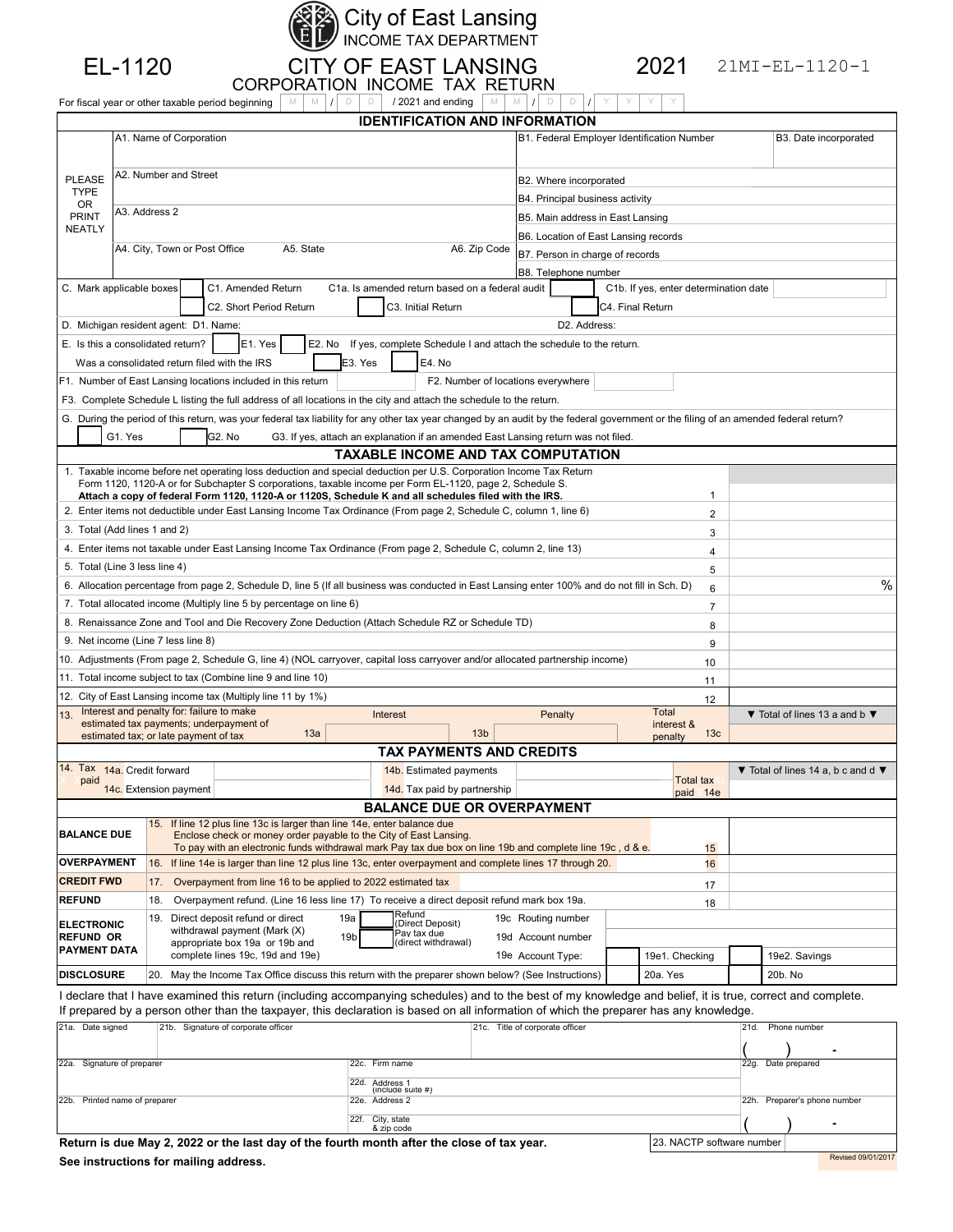



# INCOME TAX DEPARTMENT EL-1120 CITY OF EAST LANSING 2021 21MI-EL-1120-1 CORPORATION INCOME TAX RETURN

For fiscal year or other taxable period beginning  $|M|M|D|D|D|12021$  and ending  $|M|M|M|$ A1. Name of Corporation B1. Federal Employer Identification Number B3. Date incorporated A2. Number and Street **B2. Where incorporated** B2. Where incorporated B4. Principal business activity A3. Address 2 B5. Main address in East Lansing B6. Location of East Lansing records A4. City, Town or Post Office A5. State A65. State A6. Zip Code B7. Person in charge of records B8. Telephone number C. Mark applicable boxes C1. Amended Return C1a. Is amended return based on a federal audit C1b. If yes, enter determination date C2. Short Period Return C3. Initial Return C4. Final Return D. Michigan resident agent: D1. Name: D2. Address: E. Is this a consolidated return?  $\begin{bmatrix} E1. & Y \end{bmatrix}$  E2. No If yes, complete Schedule I and attach the schedule to the return. Was a consolidated return filed with the IRS E3. Yes E4. No  $\mathsf F1$ . Number of East Lansing locations included in this return  $\mathsf F2$ . Number of locations everywhere F3. Complete Schedule L listing the full address of all locations in the city and attach the schedule to the return. G. During the period of this return, was your federal tax liability for any other tax year changed by an audit by the federal government or the filing of an amended federal return? G1. Yes G2. No G3. If yes, attach an explanation if an amended East Lansing return was not filed. 1 2. Enter items not deductible under East Lansing Income Tax Ordinance (From page 2, Schedule C, column 1, line 6) 2 3. Total (Add lines 1 and 2) 3 4. Enter items not taxable under East Lansing Income Tax Ordinance (From page 2, Schedule C, column 2, line 13) 4 5. Total (Line 3 less line 4) 5 6. Allocation percentage from page 2, Schedule D, line 5 (If all business was conducted in East Lansing enter 100% and do not fill in Sch. D)  $\sim$  6  $\sim$   $\sim$   $\sim$   $\sim$ 7. Total allocated income (Multiply line 5 by percentage on line 6) 7 **7** 8. Renaissance Zone and Tool and Die Recovery Zone Deduction (Attach Schedule RZ or Schedule TD) 8 8 9. Net income (Line 7 less line 8) 9 10. Adjustments (From page 2, Schedule G, line 4) (NOL carryover, capital loss carryover and/or allocated partnership income) 10 11. Total income subject to tax (Combine line 9 and line 10) 11 12. City of East Lansing income tax (Multiply line 11 by 1%) 12 13. 13a | 13c | 13c | 13c | 13c | 13c | 13c | 13c | 13c | 13c | 13c | 13c | 13c | 13c | 13c | 13c 14a. Credit forward 14b. Estimated payments 14c. Extension payment **14c.** Extension payment 15. If line 12 plus line 13c is larger than line 14e, enter balance due Enclose check or money order payable to the City of East Lansing. To pay with an electronic funds withdrawal mark Pay tax due box on line 19b and complete line 19c, d & e. 15 16. If line 14e is larger than line 12 plus line 13c, enter overpayment and complete lines 17 through 20. 16 17. Overpayment from line 16 to be applied to 2022 estimated tax 17 **REFUND** 18. Overpayment refund. (Line 16 less line 17) To receive a direct deposit refund mark box 19a. 18 Refund (Direct Deposit) Pay tax due 19b | ray tax due 19d 19e1. Checking **1** 19e2. Savings **DISCLOSURE** 20. May the Income Tax Office discuss this return with the preparer shown below? (See Instructions) 20a. Yes 20b. No I declare that I have examined this return (including accompanying schedules) and to the best of my knowledge and belief, it is true, correct and complete. If prepared by a person other than the taxpayer, this declaration is based on all information of which the preparer has any knowledge. 21a. Date signed 21b. Signature of corporate officer 21c. Title of corporate officer 21c. The of corporate officer 21d. Phone number **-** 22a. Signature of preparer **22g.** Date preparer 22g. Date prepared 22g. Date prepared 22g. Date prepared 22g. Date prepared 22g. Date prepared 22g. Date prepared 22g. Date prepared 22g. Date prepared 22g. Date prepared 22g 22d. Address 1 (include suite #) 22b. Printed name of preparer examples and the control of the 22e. Address 2 22h. Preparer's phone number in the control of the control of the control of the control of the control of the control of the control of the cont 22f. City, state & zip code Direct deposit refund or direct withdrawal payment (Mark (X) appropriate box 19a or 19b and complete lines 19c, 19d and 19e) 19a | Refund<br>
19c Routing number **BALANCE DUE OVERPAYMENT CREDIT FWD ELECTRONIC REFUND OR PAYMENT DATA**  19. **TAX PAYMENTS AND CREDITS** 14. Tax  $X \times \text{paid}$  and  $X \times \text{praid}$  to  $X \times \text{praid}$  the  $X \times \text{praid}$  tax  $X \times \text{praid}$  tax  $X \times \text{praid}$  to  $X \times \text{praid}$ paid X14e ▼ Total of lines 14 a, b c and d ▼ **BALANCE DUE OR OVERPAYMENT IDENTIFICATION AND INFORMATION** PLEASE TYPE OR PRINT NEATLY **TAXABLE INCOME AND TAX COMPUTATION** 1. Taxable income before net operating loss deduction and special deduction per U.S. Corporation Income Tax Return Form 1120, 1120-A or for Subchapter S corporations, taxable income per Form EL-1120, page 2, Schedule S. Attach a copy of federal Form 1120, 1120-A or 1120S, Schedule K and all schedules filed with the IRS. Interest and penalty for: failure to make estimated tax payments; underpayment of estimated tax; or late payment of tax Interest **Penalty Total** interest & penalty ▼ Total of lines 13 a and b ▼  $/$  2021 and ending 19d Account number 19e Account Type:  $($ ( ) **-**

**Return is due May 2, 2022 or the last day of the fourth month after the close of tax year. 23. NACTP software number** See instructions for mailing address. **Revised 09/01/2017** and the second of the second of the second of the second of the second of the second of the second of the second of the second of the second of the second of the s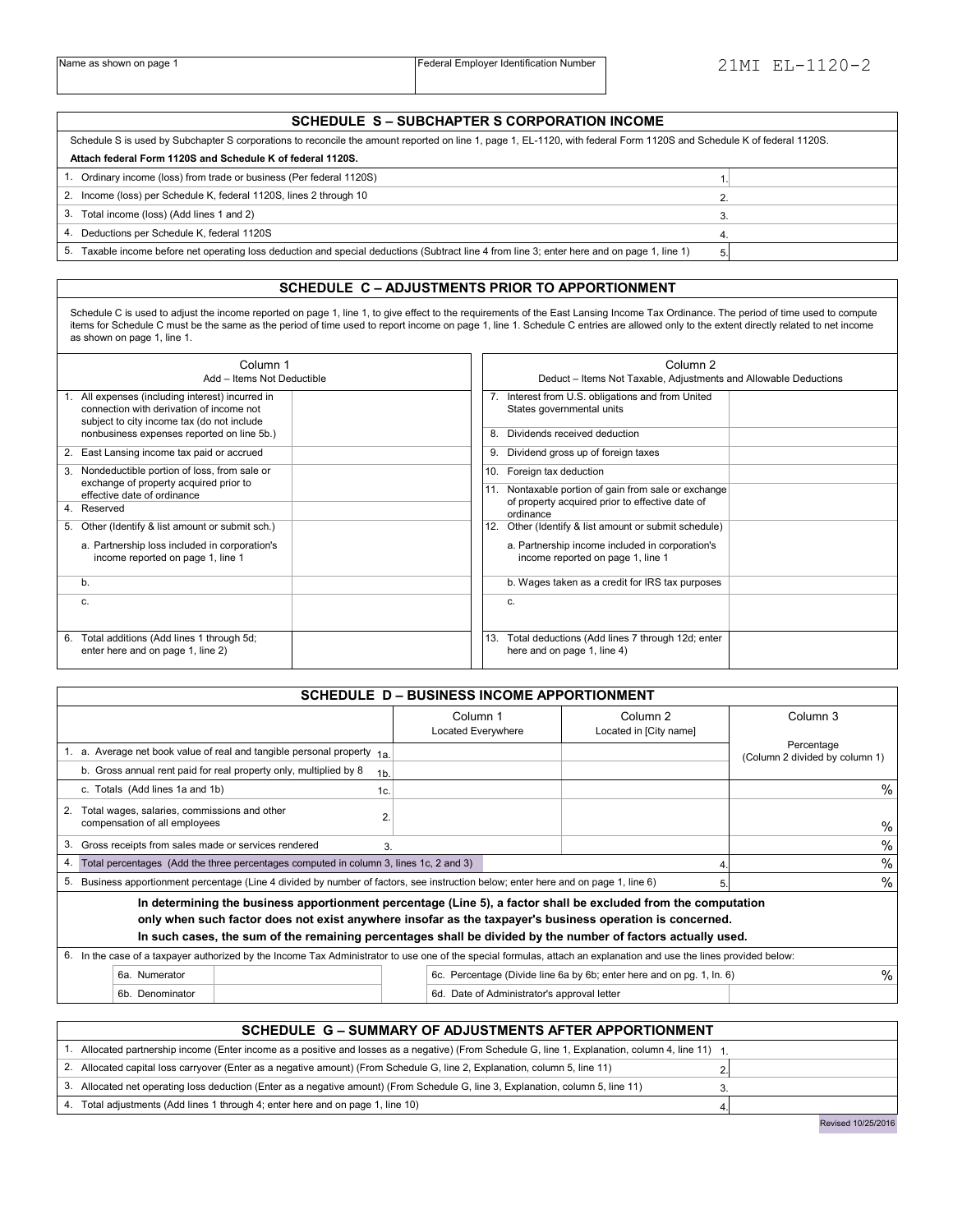| <b>SCHEDULE S-SUBCHAPTER S CORPORATION INCOME</b>                                                                                                                     |  |  |  |  |  |  |
|-----------------------------------------------------------------------------------------------------------------------------------------------------------------------|--|--|--|--|--|--|
| Schedule S is used by Subchapter S corporations to reconcile the amount reported on line 1, page 1, EL-1120, with federal Form 1120S and Schedule K of federal 1120S. |  |  |  |  |  |  |
| Attach federal Form 1120S and Schedule K of federal 1120S.                                                                                                            |  |  |  |  |  |  |
| 1. Ordinary income (loss) from trade or business (Per federal 1120S)                                                                                                  |  |  |  |  |  |  |
| 2. Income (loss) per Schedule K, federal 1120S, lines 2 through 10                                                                                                    |  |  |  |  |  |  |
| 3. Total income (loss) (Add lines 1 and 2)                                                                                                                            |  |  |  |  |  |  |
| 4. Deductions per Schedule K, federal 1120S                                                                                                                           |  |  |  |  |  |  |
| 5. Taxable income before net operating loss deduction and special deductions (Subtract line 4 from line 3; enter here and on page 1, line 1)                          |  |  |  |  |  |  |

### **SCHEDULE C ‒ ADJUSTMENTS PRIOR TO APPORTIONMENT**

Schedule C is used to adjust the income reported on page 1, line 1, to give effect to the requirements of the East Lansing Income Tax Ordinance. The period of time used to compute<br>items for Schedule C must be the same as t as shown on page 1, line 1.

| Column 1<br>Add - Items Not Deductible                                                                                                     | Column <sub>2</sub><br>Deduct - Items Not Taxable, Adjustments and Allowable Deductions                 |  |  |  |
|--------------------------------------------------------------------------------------------------------------------------------------------|---------------------------------------------------------------------------------------------------------|--|--|--|
| 1. All expenses (including interest) incurred in<br>connection with derivation of income not<br>subject to city income tax (do not include | 7. Interest from U.S. obligations and from United<br>States governmental units                          |  |  |  |
| nonbusiness expenses reported on line 5b.)                                                                                                 | Dividends received deduction<br>8.                                                                      |  |  |  |
| 2. East Lansing income tax paid or accrued                                                                                                 | Dividend gross up of foreign taxes<br>9.                                                                |  |  |  |
| 3. Nondeductible portion of loss, from sale or                                                                                             | Foreign tax deduction<br>10.                                                                            |  |  |  |
| exchange of property acquired prior to<br>effective date of ordinance                                                                      | 11. Nontaxable portion of gain from sale or exchange<br>of property acquired prior to effective date of |  |  |  |
| 4. Reserved                                                                                                                                | ordinance                                                                                               |  |  |  |
| Other (Identify & list amount or submit sch.)<br>5.                                                                                        | 12. Other (Identify & list amount or submit schedule)                                                   |  |  |  |
| a. Partnership loss included in corporation's                                                                                              | a. Partnership income included in corporation's                                                         |  |  |  |
| income reported on page 1, line 1                                                                                                          | income reported on page 1, line 1                                                                       |  |  |  |
| b.                                                                                                                                         | b. Wages taken as a credit for IRS tax purposes                                                         |  |  |  |
| C.                                                                                                                                         | c.                                                                                                      |  |  |  |
|                                                                                                                                            |                                                                                                         |  |  |  |
| 6. Total additions (Add lines 1 through 5d;<br>enter here and on page 1, line 2)                                                           | Total deductions (Add lines 7 through 12d; enter<br>I 13.<br>here and on page 1, line 4)                |  |  |  |

| <b>SCHEDULE D - BUSINESS INCOME APPORTIONMENT</b>                                                                                                                                                                                                                                                                                          |                                             |                                                                       |                                              |  |  |  |  |
|--------------------------------------------------------------------------------------------------------------------------------------------------------------------------------------------------------------------------------------------------------------------------------------------------------------------------------------------|---------------------------------------------|-----------------------------------------------------------------------|----------------------------------------------|--|--|--|--|
|                                                                                                                                                                                                                                                                                                                                            | Column 1<br>Located Everywhere              | Column 2<br>Located in [City name]                                    | Column 3                                     |  |  |  |  |
| 1. a. Average net book value of real and tangible personal property 1a.                                                                                                                                                                                                                                                                    |                                             |                                                                       | Percentage<br>(Column 2 divided by column 1) |  |  |  |  |
| b. Gross annual rent paid for real property only, multiplied by 8<br>1 <sub>b</sub>                                                                                                                                                                                                                                                        |                                             |                                                                       |                                              |  |  |  |  |
| c. Totals (Add lines 1a and 1b)<br>1c.                                                                                                                                                                                                                                                                                                     |                                             |                                                                       | $\%$                                         |  |  |  |  |
| Total wages, salaries, commissions and other<br>2.<br>compensation of all employees                                                                                                                                                                                                                                                        |                                             |                                                                       | $\%$                                         |  |  |  |  |
| 3.<br>Gross receipts from sales made or services rendered<br>3.                                                                                                                                                                                                                                                                            |                                             |                                                                       | $\%$                                         |  |  |  |  |
| Total percentages (Add the three percentages computed in column 3, lines 1c, 2 and 3)<br>4.                                                                                                                                                                                                                                                |                                             |                                                                       | $\%$                                         |  |  |  |  |
| $\%$<br>Business apportionment percentage (Line 4 divided by number of factors, see instruction below; enter here and on page 1, line 6)<br>5.<br>5.                                                                                                                                                                                       |                                             |                                                                       |                                              |  |  |  |  |
| In determining the business apportionment percentage (Line 5), a factor shall be excluded from the computation<br>only when such factor does not exist anywhere insofar as the taxpayer's business operation is concerned.<br>In such cases, the sum of the remaining percentages shall be divided by the number of factors actually used. |                                             |                                                                       |                                              |  |  |  |  |
| 6. In the case of a taxpayer authorized by the Income Tax Administrator to use one of the special formulas, attach an explanation and use the lines provided below:                                                                                                                                                                        |                                             |                                                                       |                                              |  |  |  |  |
| 6a. Numerator                                                                                                                                                                                                                                                                                                                              |                                             | 6c. Percentage (Divide line 6a by 6b; enter here and on pg. 1, In. 6) | $\%$                                         |  |  |  |  |
| 6b. Denominator                                                                                                                                                                                                                                                                                                                            | 6d. Date of Administrator's approval letter |                                                                       |                                              |  |  |  |  |

|    | SCHEDULE G - SUMMARY OF ADJUSTMENTS AFTER APPORTIONMENT                                                                                         |  |
|----|-------------------------------------------------------------------------------------------------------------------------------------------------|--|
|    | Allocated partnership income (Enter income as a positive and losses as a negative) (From Schedule G, line 1, Explanation, column 4, line 11) 1. |  |
|    | 2. Allocated capital loss carryover (Enter as a negative amount) (From Schedule G, line 2, Explanation, column 5, line 11)                      |  |
| 3. | Allocated net operating loss deduction (Enter as a negative amount) (From Schedule G, line 3, Explanation, column 5, line 11)                   |  |
| 4. | Total adjustments (Add lines 1 through 4; enter here and on page 1, line 10)                                                                    |  |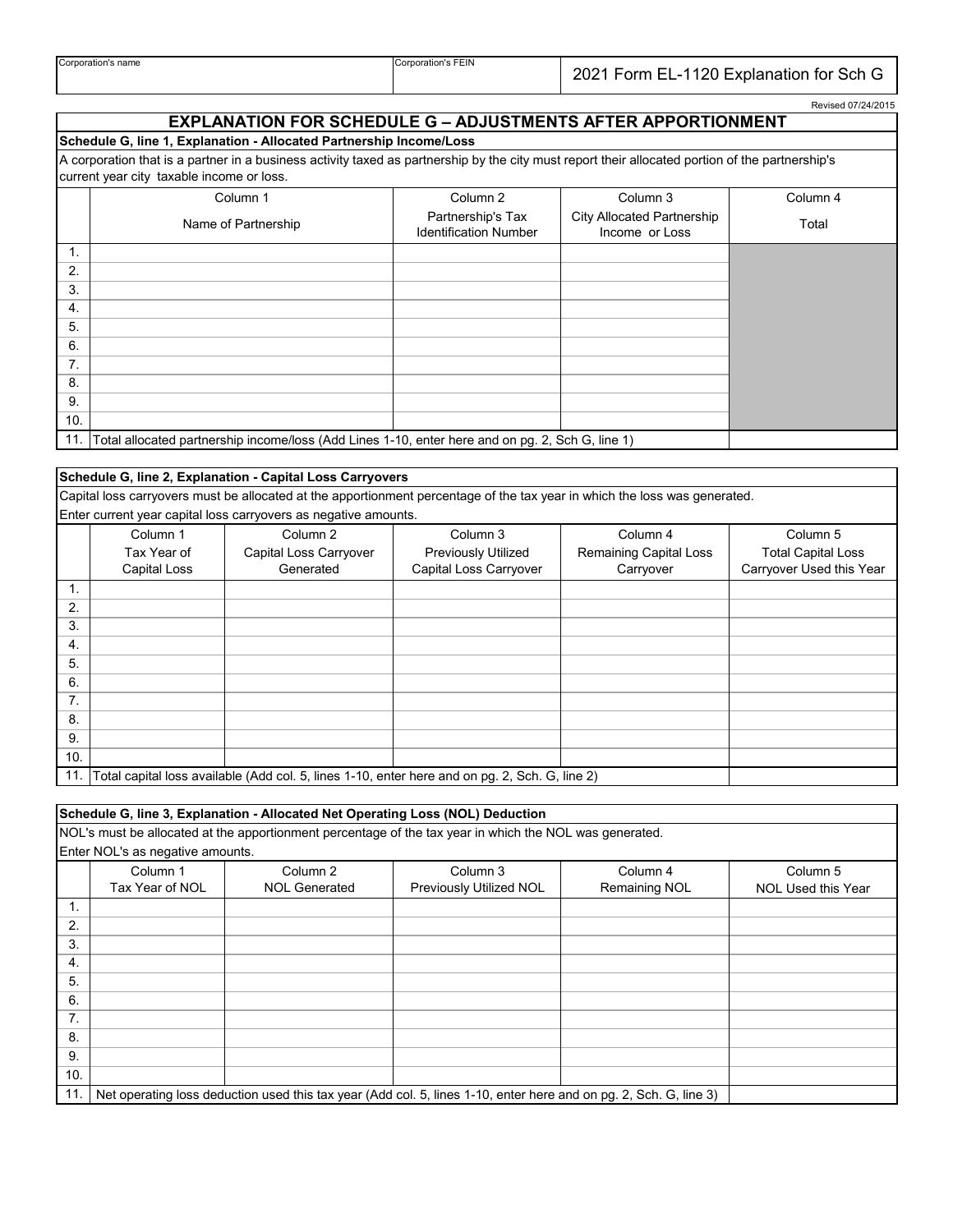| Corporation's name | <b>Corporation's FEIN</b> |                                         |
|--------------------|---------------------------|-----------------------------------------|
|                    |                           | 2021 Form EL-1120 Explanation for Sch G |

## **EXPLANATION FOR SCHEDULE G - ADJUSTMENTS AFTER APPORTIONMENT**

Revised 07/24/2015

### **Schedule G, line 1, Explanation - Allocated Partnership Income/Loss**

A corporation that is a partner in a business activity taxed as partnership by the city must report their allocated portion of the partnership's current year city taxable income or loss.

|                  | Column 1                                                                                         | Column 2                                          | Column 3                                            | Column 4 |  |  |  |  |
|------------------|--------------------------------------------------------------------------------------------------|---------------------------------------------------|-----------------------------------------------------|----------|--|--|--|--|
|                  | Name of Partnership                                                                              | Partnership's Tax<br><b>Identification Number</b> | <b>City Allocated Partnership</b><br>Income or Loss | Total    |  |  |  |  |
|                  |                                                                                                  |                                                   |                                                     |          |  |  |  |  |
| 2.               |                                                                                                  |                                                   |                                                     |          |  |  |  |  |
| 3.               |                                                                                                  |                                                   |                                                     |          |  |  |  |  |
| $\overline{4}$ . |                                                                                                  |                                                   |                                                     |          |  |  |  |  |
| 5.               |                                                                                                  |                                                   |                                                     |          |  |  |  |  |
| 6.               |                                                                                                  |                                                   |                                                     |          |  |  |  |  |
| 7.               |                                                                                                  |                                                   |                                                     |          |  |  |  |  |
| 8.               |                                                                                                  |                                                   |                                                     |          |  |  |  |  |
| 9.               |                                                                                                  |                                                   |                                                     |          |  |  |  |  |
| 10.              |                                                                                                  |                                                   |                                                     |          |  |  |  |  |
| 11.1             | Total allocated partnership income/loss (Add Lines 1-10, enter here and on pg. 2, Sch G, line 1) |                                                   |                                                     |          |  |  |  |  |

### **Schedule G, line 2, Explanation - Capital Loss Carryovers**

Capital loss carryovers must be allocated at the apportionment percentage of the tax year in which the loss was generated. Enter current year capital loss carryovers as negative amounts.

|                | Column 1     | Column 2                                                                                       | Column 3                   | Column 4                      | Column 5                  |
|----------------|--------------|------------------------------------------------------------------------------------------------|----------------------------|-------------------------------|---------------------------|
|                |              |                                                                                                |                            |                               |                           |
|                | Tax Year of  | Capital Loss Carryover                                                                         | <b>Previously Utilized</b> | <b>Remaining Capital Loss</b> | <b>Total Capital Loss</b> |
|                | Capital Loss | Generated                                                                                      | Capital Loss Carryover     | Carryover                     | Carryover Used this Year  |
| $\mathbf{1}$ . |              |                                                                                                |                            |                               |                           |
| 2.             |              |                                                                                                |                            |                               |                           |
| 3.             |              |                                                                                                |                            |                               |                           |
| 4.             |              |                                                                                                |                            |                               |                           |
| 5.             |              |                                                                                                |                            |                               |                           |
| 6.             |              |                                                                                                |                            |                               |                           |
| 7.             |              |                                                                                                |                            |                               |                           |
| 8.             |              |                                                                                                |                            |                               |                           |
| 9.             |              |                                                                                                |                            |                               |                           |
| 10.            |              |                                                                                                |                            |                               |                           |
| 11.1           |              | Total capital loss available (Add col. 5, lines 1-10, enter here and on pg. 2, Sch. G, line 2) |                            |                               |                           |

|                  | Schedule G, line 3, Explanation - Allocated Net Operating Loss (NOL) Deduction                                    |                      |                         |               |                    |  |  |  |
|------------------|-------------------------------------------------------------------------------------------------------------------|----------------------|-------------------------|---------------|--------------------|--|--|--|
|                  | NOL's must be allocated at the apportionment percentage of the tax year in which the NOL was generated.           |                      |                         |               |                    |  |  |  |
|                  | Enter NOL's as negative amounts.                                                                                  |                      |                         |               |                    |  |  |  |
|                  | Column 1                                                                                                          | Column 2             | Column 3                | Column 4      | Column 5           |  |  |  |
|                  | Tax Year of NOL                                                                                                   | <b>NOL Generated</b> | Previously Utilized NOL | Remaining NOL | NOL Used this Year |  |  |  |
| $\mathbf{1}$ .   |                                                                                                                   |                      |                         |               |                    |  |  |  |
| 2.               |                                                                                                                   |                      |                         |               |                    |  |  |  |
| 3.               |                                                                                                                   |                      |                         |               |                    |  |  |  |
| $\overline{4}$ . |                                                                                                                   |                      |                         |               |                    |  |  |  |
| 5.               |                                                                                                                   |                      |                         |               |                    |  |  |  |
| 6.               |                                                                                                                   |                      |                         |               |                    |  |  |  |
| 7.               |                                                                                                                   |                      |                         |               |                    |  |  |  |
| 8.               |                                                                                                                   |                      |                         |               |                    |  |  |  |
| 9.               |                                                                                                                   |                      |                         |               |                    |  |  |  |
| 10.              |                                                                                                                   |                      |                         |               |                    |  |  |  |
| 11.              | Net operating loss deduction used this tax year (Add col. 5, lines 1-10, enter here and on pg. 2, Sch. G, line 3) |                      |                         |               |                    |  |  |  |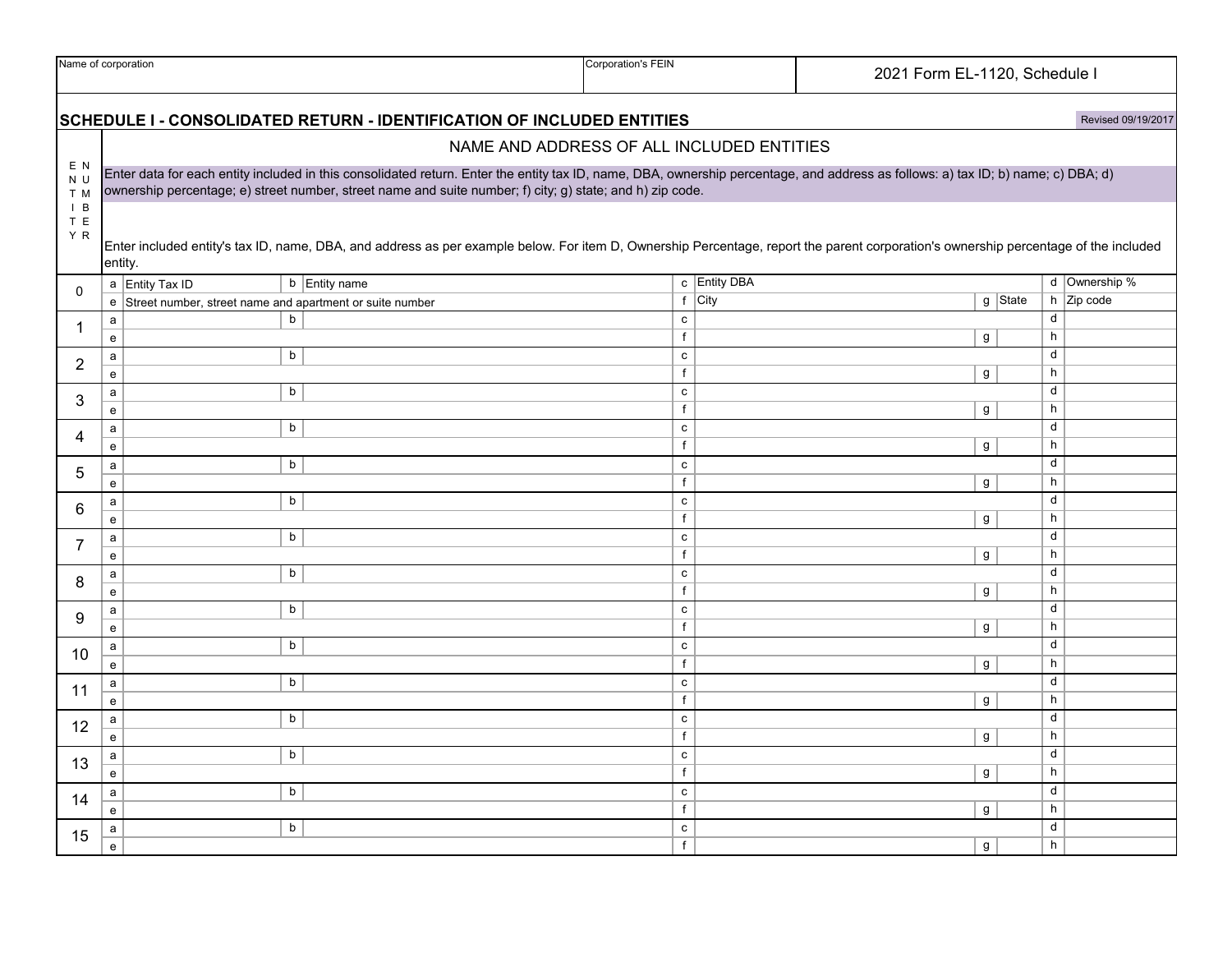| Name of corporation |                                                                                                                                                                                   |                                                                                                                                                                                     | Corporation's FEIN | 2021 Form EL-1120, Schedule I |                    |  |  |  |  |
|---------------------|-----------------------------------------------------------------------------------------------------------------------------------------------------------------------------------|-------------------------------------------------------------------------------------------------------------------------------------------------------------------------------------|--------------------|-------------------------------|--------------------|--|--|--|--|
|                     |                                                                                                                                                                                   |                                                                                                                                                                                     |                    |                               |                    |  |  |  |  |
|                     |                                                                                                                                                                                   | SCHEDULE I - CONSOLIDATED RETURN - IDENTIFICATION OF INCLUDED ENTITIES                                                                                                              |                    |                               | Revised 09/19/2017 |  |  |  |  |
|                     | NAME AND ADDRESS OF ALL INCLUDED ENTITIES                                                                                                                                         |                                                                                                                                                                                     |                    |                               |                    |  |  |  |  |
| E N<br>N U          | Enter data for each entity included in this consolidated return. Enter the entity tax ID, name, DBA, ownership percentage, and address as follows: a) tax ID; b) name; c) DBA; d) |                                                                                                                                                                                     |                    |                               |                    |  |  |  |  |
| T M                 |                                                                                                                                                                                   | ownership percentage; e) street number, street name and suite number; f) city; g) state; and h) zip code.                                                                           |                    |                               |                    |  |  |  |  |
| $\vert$ B<br>T E    |                                                                                                                                                                                   |                                                                                                                                                                                     |                    |                               |                    |  |  |  |  |
| YR                  |                                                                                                                                                                                   |                                                                                                                                                                                     |                    |                               |                    |  |  |  |  |
|                     | entity.                                                                                                                                                                           | Enter included entity's tax ID, name, DBA, and address as per example below. For item D, Ownership Percentage, report the parent corporation's ownership percentage of the included |                    |                               |                    |  |  |  |  |
|                     |                                                                                                                                                                                   | b Entity name<br>a Entity Tax ID                                                                                                                                                    | c Entity DBA       |                               | d Ownership %      |  |  |  |  |
| $\mathbf{0}$        |                                                                                                                                                                                   | e Street number, street name and apartment or suite number                                                                                                                          | $f$ City           | $g$ State                     | $h$ Zip code       |  |  |  |  |
|                     | a                                                                                                                                                                                 | b                                                                                                                                                                                   | $\mathbf{C}$       |                               | d                  |  |  |  |  |
| -1                  | $\mathsf{e}$                                                                                                                                                                      |                                                                                                                                                                                     | f                  | g                             | h                  |  |  |  |  |
| $\overline{2}$      | a                                                                                                                                                                                 | b                                                                                                                                                                                   | c                  |                               | d                  |  |  |  |  |
|                     | $\mathsf{e}$                                                                                                                                                                      |                                                                                                                                                                                     | f                  | g                             | h                  |  |  |  |  |
| 3                   | a                                                                                                                                                                                 | b                                                                                                                                                                                   | $\mathtt{C}$       |                               | d                  |  |  |  |  |
|                     | $\mathsf{e}$                                                                                                                                                                      | b                                                                                                                                                                                   | f<br>$\mathtt{c}$  | g                             | h<br>d             |  |  |  |  |
| 4                   | $\mathsf{a}$<br>$\mathbf{e}$                                                                                                                                                      |                                                                                                                                                                                     | f                  | g                             | h                  |  |  |  |  |
|                     | a                                                                                                                                                                                 | b                                                                                                                                                                                   | c                  |                               | d                  |  |  |  |  |
| 5                   | $\mathsf{e}$                                                                                                                                                                      |                                                                                                                                                                                     | f                  | g                             | h                  |  |  |  |  |
|                     | a                                                                                                                                                                                 | b                                                                                                                                                                                   | $\mathtt{C}$       |                               | d                  |  |  |  |  |
| 6                   | $\mathsf{e}$                                                                                                                                                                      |                                                                                                                                                                                     | f                  | g                             | h                  |  |  |  |  |
| $\overline{7}$      | $\mathsf{a}$                                                                                                                                                                      | b                                                                                                                                                                                   | $\mathtt{c}$       |                               | d                  |  |  |  |  |
|                     | $\mathbf{e}$                                                                                                                                                                      |                                                                                                                                                                                     | f                  | g                             | h                  |  |  |  |  |
| 8                   | a                                                                                                                                                                                 | b                                                                                                                                                                                   | $\mathbf c$<br>f   |                               | d<br>h             |  |  |  |  |
|                     | $\mathsf{e}$                                                                                                                                                                      | b                                                                                                                                                                                   | $\mathtt{C}$       | g                             | d                  |  |  |  |  |
| 9                   | a<br>$\mathbf{e}$                                                                                                                                                                 |                                                                                                                                                                                     | f                  | g                             | h                  |  |  |  |  |
|                     | $\mathsf{a}$                                                                                                                                                                      | b                                                                                                                                                                                   | $\mathtt{c}$       |                               | d                  |  |  |  |  |
| 10                  | $\mathsf{e}$                                                                                                                                                                      |                                                                                                                                                                                     | f                  | g                             | h                  |  |  |  |  |
| 11                  | a                                                                                                                                                                                 | b                                                                                                                                                                                   | $\mathtt{c}$       |                               | d                  |  |  |  |  |
|                     | $\mathsf{e}% _{0}\left( \mathsf{e}\right)$                                                                                                                                        |                                                                                                                                                                                     | f                  | g                             | h                  |  |  |  |  |
| 12                  | a                                                                                                                                                                                 | b                                                                                                                                                                                   | c                  |                               | d                  |  |  |  |  |
|                     | $\mathsf{e}$                                                                                                                                                                      |                                                                                                                                                                                     | f                  | g                             | h                  |  |  |  |  |
| 13                  | a                                                                                                                                                                                 | b                                                                                                                                                                                   | $\mathbf c$        |                               | d<br>h             |  |  |  |  |
|                     | $\mathsf{e}$<br>a                                                                                                                                                                 | b                                                                                                                                                                                   | f<br>$\mathbf{c}$  | g                             | d                  |  |  |  |  |
| 14                  | $\mathsf{e}$                                                                                                                                                                      |                                                                                                                                                                                     | f                  | g                             | h                  |  |  |  |  |
|                     | a                                                                                                                                                                                 | b                                                                                                                                                                                   | $\mathtt{C}$       |                               | d                  |  |  |  |  |
| 15                  | $\mathsf{e}% _{t}\left( t\right) \equiv\mathsf{e}_{t}\left( t\right) \equiv\mathsf{e}_{t}\left( t\right)$                                                                         |                                                                                                                                                                                     | f                  | g                             | h                  |  |  |  |  |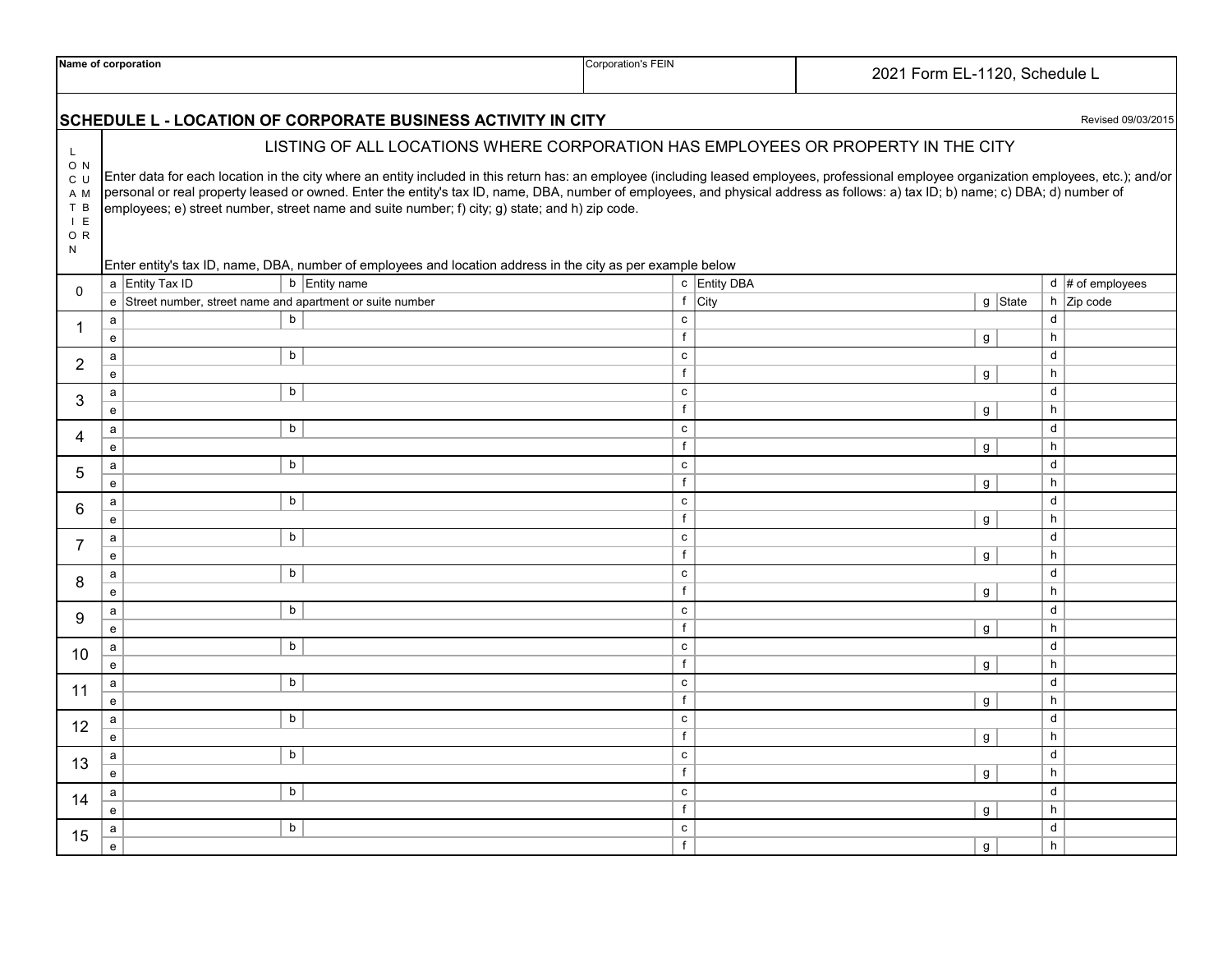| Name of corporation                                          |                                                                                  |                                                                                                                                                                                                                                                                                   | <b>Corporation's FEIN</b> |                   |              | 2021 Form EL-1120, Schedule L |           |                    |                    |
|--------------------------------------------------------------|----------------------------------------------------------------------------------|-----------------------------------------------------------------------------------------------------------------------------------------------------------------------------------------------------------------------------------------------------------------------------------|---------------------------|-------------------|--------------|-------------------------------|-----------|--------------------|--------------------|
| SCHEDULE L - LOCATION OF CORPORATE BUSINESS ACTIVITY IN CITY |                                                                                  |                                                                                                                                                                                                                                                                                   |                           |                   |              |                               |           | Revised 09/03/2015 |                    |
|                                                              | LISTING OF ALL LOCATIONS WHERE CORPORATION HAS EMPLOYEES OR PROPERTY IN THE CITY |                                                                                                                                                                                                                                                                                   |                           |                   |              |                               |           |                    |                    |
| $\mathsf{L}$<br>O N                                          |                                                                                  |                                                                                                                                                                                                                                                                                   |                           |                   |              |                               |           |                    |                    |
| C U                                                          |                                                                                  | Enter data for each location in the city where an entity included in this return has: an employee (including leased employees, professional employee organization employees, etc.); and/or                                                                                        |                           |                   |              |                               |           |                    |                    |
| A M<br>T B                                                   |                                                                                  | personal or real property leased or owned. Enter the entity's tax ID, name, DBA, number of employees, and physical address as follows: a) tax ID; b) name; c) DBA; d) number of<br>employees; e) street number, street name and suite number; f) city; g) state; and h) zip code. |                           |                   |              |                               |           |                    |                    |
| I E                                                          |                                                                                  |                                                                                                                                                                                                                                                                                   |                           |                   |              |                               |           |                    |                    |
| OR<br>N                                                      |                                                                                  |                                                                                                                                                                                                                                                                                   |                           |                   |              |                               |           |                    |                    |
|                                                              |                                                                                  | Enter entity's tax ID, name, DBA, number of employees and location address in the city as per example below                                                                                                                                                                       |                           |                   |              |                               |           |                    |                    |
|                                                              |                                                                                  | b Entity name<br>a Entity Tax ID                                                                                                                                                                                                                                                  |                           |                   | c Entity DBA |                               |           |                    | $d$ # of employees |
| $\Omega$                                                     |                                                                                  | e Street number, street name and apartment or suite number                                                                                                                                                                                                                        |                           |                   | $f$ City     |                               | $g$ State |                    | $h$ Zip code       |
| -1                                                           | a                                                                                | b                                                                                                                                                                                                                                                                                 |                           | c                 |              |                               |           | d                  |                    |
|                                                              | $\mathsf{e}$                                                                     |                                                                                                                                                                                                                                                                                   |                           | f                 |              |                               | g         | h                  |                    |
| $\overline{2}$                                               | $\mathsf{a}$                                                                     | b                                                                                                                                                                                                                                                                                 |                           | $\mathbf{C}$      |              |                               |           | d                  |                    |
|                                                              | $\mathsf{e}$                                                                     |                                                                                                                                                                                                                                                                                   |                           | f                 |              |                               | g         | h                  |                    |
| 3                                                            | $\mathsf{a}$                                                                     | b                                                                                                                                                                                                                                                                                 |                           | c                 |              |                               |           | d                  |                    |
|                                                              | $\mathsf{e}$                                                                     |                                                                                                                                                                                                                                                                                   |                           | f                 |              |                               | g         | h                  |                    |
| 4                                                            | $\mathsf{a}$<br>$\mathsf{e}\,$                                                   | b                                                                                                                                                                                                                                                                                 |                           | ${\bf c}$<br>f    |              |                               |           | d<br>h             |                    |
|                                                              | $\mathsf{a}$                                                                     | b                                                                                                                                                                                                                                                                                 |                           | $\mathtt{c}$      |              |                               | g         | d                  |                    |
| 5                                                            | $\mathsf{e}$                                                                     |                                                                                                                                                                                                                                                                                   |                           | f                 |              |                               | g         | h                  |                    |
|                                                              | a                                                                                | b                                                                                                                                                                                                                                                                                 |                           | c                 |              |                               |           | d                  |                    |
| 6                                                            | $\mathsf{e}$                                                                     |                                                                                                                                                                                                                                                                                   |                           | f                 |              |                               | g         | h                  |                    |
| $\overline{7}$                                               | $\mathsf{a}$                                                                     | b                                                                                                                                                                                                                                                                                 |                           | c                 |              |                               |           | d                  |                    |
|                                                              | $\mathsf{e}$                                                                     |                                                                                                                                                                                                                                                                                   |                           | f                 |              |                               | g         | h                  |                    |
| 8                                                            | a                                                                                | $\mathsf b$                                                                                                                                                                                                                                                                       |                           | c                 |              |                               |           | d                  |                    |
|                                                              | $\mathsf{e}$                                                                     |                                                                                                                                                                                                                                                                                   |                           | f                 |              |                               | g         | h                  |                    |
| 9                                                            | $\mathsf{a}$                                                                     | b                                                                                                                                                                                                                                                                                 |                           | c                 |              |                               |           | d                  |                    |
|                                                              | $\mathsf{e}$                                                                     | b                                                                                                                                                                                                                                                                                 |                           | f<br>$\mathbf{C}$ |              |                               | g         | h<br>d             |                    |
| 10                                                           | $\mathsf{a}$<br>$\mathsf{e}$                                                     |                                                                                                                                                                                                                                                                                   |                           | f                 |              |                               | g         | h                  |                    |
|                                                              | $\mathsf{a}$                                                                     | b                                                                                                                                                                                                                                                                                 |                           | ${\bf c}$         |              |                               |           | d                  |                    |
| 11                                                           | $\mathsf{e}$                                                                     |                                                                                                                                                                                                                                                                                   |                           | f                 |              |                               | g         | h                  |                    |
|                                                              | a                                                                                | b                                                                                                                                                                                                                                                                                 |                           | c                 |              |                               |           | d                  |                    |
| 12                                                           | $\mathsf{e}$                                                                     |                                                                                                                                                                                                                                                                                   |                           | f                 |              |                               | g         | h                  |                    |
| 13                                                           | $\mathsf{a}$                                                                     | b                                                                                                                                                                                                                                                                                 |                           | c                 |              |                               |           | d                  |                    |
|                                                              | $\mathsf{e}$                                                                     |                                                                                                                                                                                                                                                                                   |                           | f                 |              |                               | g         | h                  |                    |
| 14                                                           | a                                                                                | b                                                                                                                                                                                                                                                                                 |                           | c                 |              |                               |           | d                  |                    |
|                                                              | $\mathbf{e}$                                                                     |                                                                                                                                                                                                                                                                                   |                           | f                 |              |                               | g         | h                  |                    |
| 15                                                           | a                                                                                | b                                                                                                                                                                                                                                                                                 |                           | c                 |              |                               |           | d                  |                    |
|                                                              | $\mathsf{e}$                                                                     |                                                                                                                                                                                                                                                                                   |                           | f                 |              |                               | g         | h                  |                    |